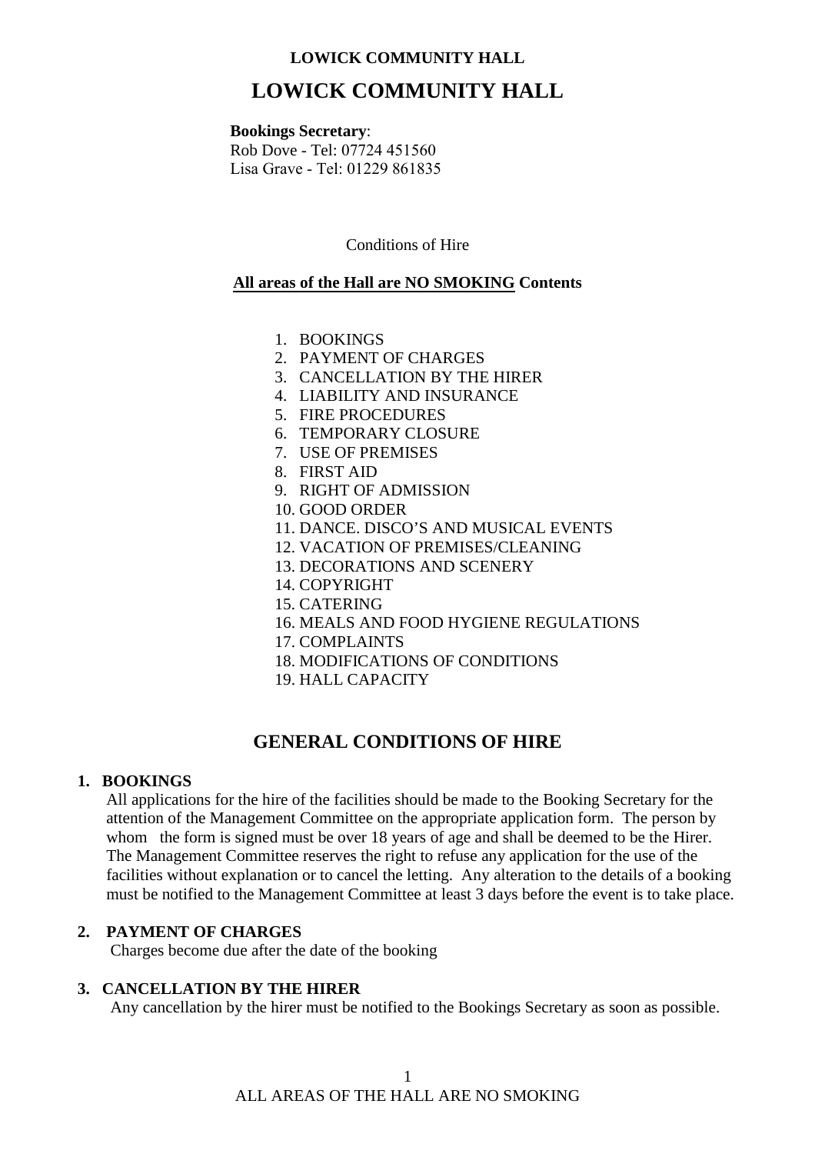# **LOWICK COMMUNITY HALL**

#### **Bookings Secretary**:

Rob Dove - Tel: 07724 451560 Lisa Grave - Tel: 01229 861835

Conditions of Hire

#### **All areas of the Hall are NO SMOKING Contents**

- 1. BOOKINGS
- 2. PAYMENT OF CHARGES
- 3. CANCELLATION BY THE HIRER
- 4. LIABILITY AND INSURANCE
- 5. FIRE PROCEDURES
- 6. TEMPORARY CLOSURE
- 7. USE OF PREMISES
- 8. FIRST AID
- 9. RIGHT OF ADMISSION
- 10. GOOD ORDER
- 11. DANCE. DISCO'S AND MUSICAL EVENTS
- 12. VACATION OF PREMISES/CLEANING
- 13. DECORATIONS AND SCENERY
- 14. COPYRIGHT
- 15. CATERING
- 16. MEALS AND FOOD HYGIENE REGULATIONS
- 17. COMPLAINTS
- 18. MODIFICATIONS OF CONDITIONS
- 19. HALL CAPACITY

# **GENERAL CONDITIONS OF HIRE**

#### **1. BOOKINGS**

All applications for the hire of the facilities should be made to the Booking Secretary for the attention of the Management Committee on the appropriate application form. The person by whom the form is signed must be over 18 years of age and shall be deemed to be the Hirer. The Management Committee reserves the right to refuse any application for the use of the facilities without explanation or to cancel the letting. Any alteration to the details of a booking must be notified to the Management Committee at least 3 days before the event is to take place.

## **2. PAYMENT OF CHARGES**

Charges become due after the date of the booking

#### **3. CANCELLATION BY THE HIRER**

Any cancellation by the hirer must be notified to the Bookings Secretary as soon as possible.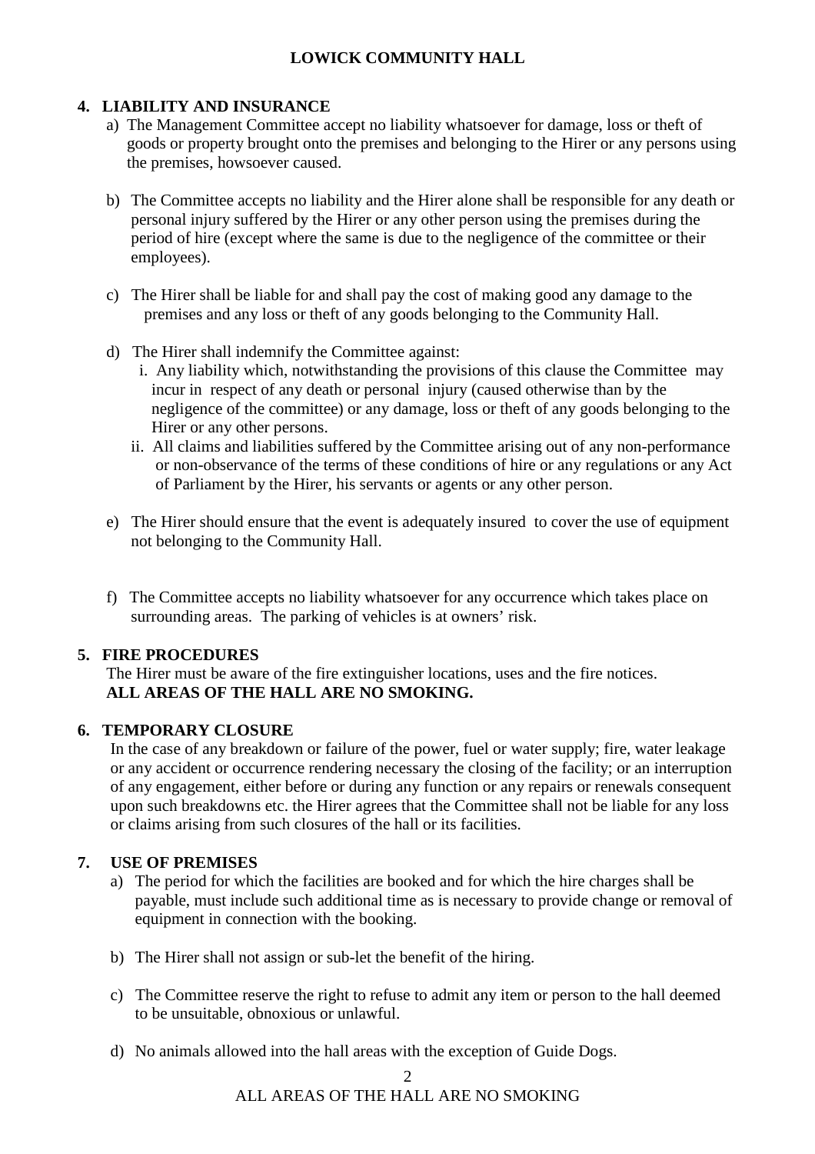# **4. LIABILITY AND INSURANCE**

- a) The Management Committee accept no liability whatsoever for damage, loss or theft of goods or property brought onto the premises and belonging to the Hirer or any persons using the premises, howsoever caused.
- b) The Committee accepts no liability and the Hirer alone shall be responsible for any death or personal injury suffered by the Hirer or any other person using the premises during the period of hire (except where the same is due to the negligence of the committee or their employees).
- c) The Hirer shall be liable for and shall pay the cost of making good any damage to the premises and any loss or theft of any goods belonging to the Community Hall.
- d) The Hirer shall indemnify the Committee against:
	- i. Any liability which, notwithstanding the provisions of this clause the Committee may incur in respect of any death or personal injury (caused otherwise than by the negligence of the committee) or any damage, loss or theft of any goods belonging to the Hirer or any other persons.
	- ii. All claims and liabilities suffered by the Committee arising out of any non-performance or non-observance of the terms of these conditions of hire or any regulations or any Act of Parliament by the Hirer, his servants or agents or any other person.
- e) The Hirer should ensure that the event is adequately insured to cover the use of equipment not belonging to the Community Hall.
- f) The Committee accepts no liability whatsoever for any occurrence which takes place on surrounding areas. The parking of vehicles is at owners' risk.

## **5. FIRE PROCEDURES**

The Hirer must be aware of the fire extinguisher locations, uses and the fire notices. **ALL AREAS OF THE HALL ARE NO SMOKING.**

## **6. TEMPORARY CLOSURE**

In the case of any breakdown or failure of the power, fuel or water supply; fire, water leakage or any accident or occurrence rendering necessary the closing of the facility; or an interruption of any engagement, either before or during any function or any repairs or renewals consequent upon such breakdowns etc. the Hirer agrees that the Committee shall not be liable for any loss or claims arising from such closures of the hall or its facilities.

## **7. USE OF PREMISES**

- a) The period for which the facilities are booked and for which the hire charges shall be payable, must include such additional time as is necessary to provide change or removal of equipment in connection with the booking.
- b) The Hirer shall not assign or sub-let the benefit of the hiring.
- c) The Committee reserve the right to refuse to admit any item or person to the hall deemed to be unsuitable, obnoxious or unlawful.
- d) No animals allowed into the hall areas with the exception of Guide Dogs.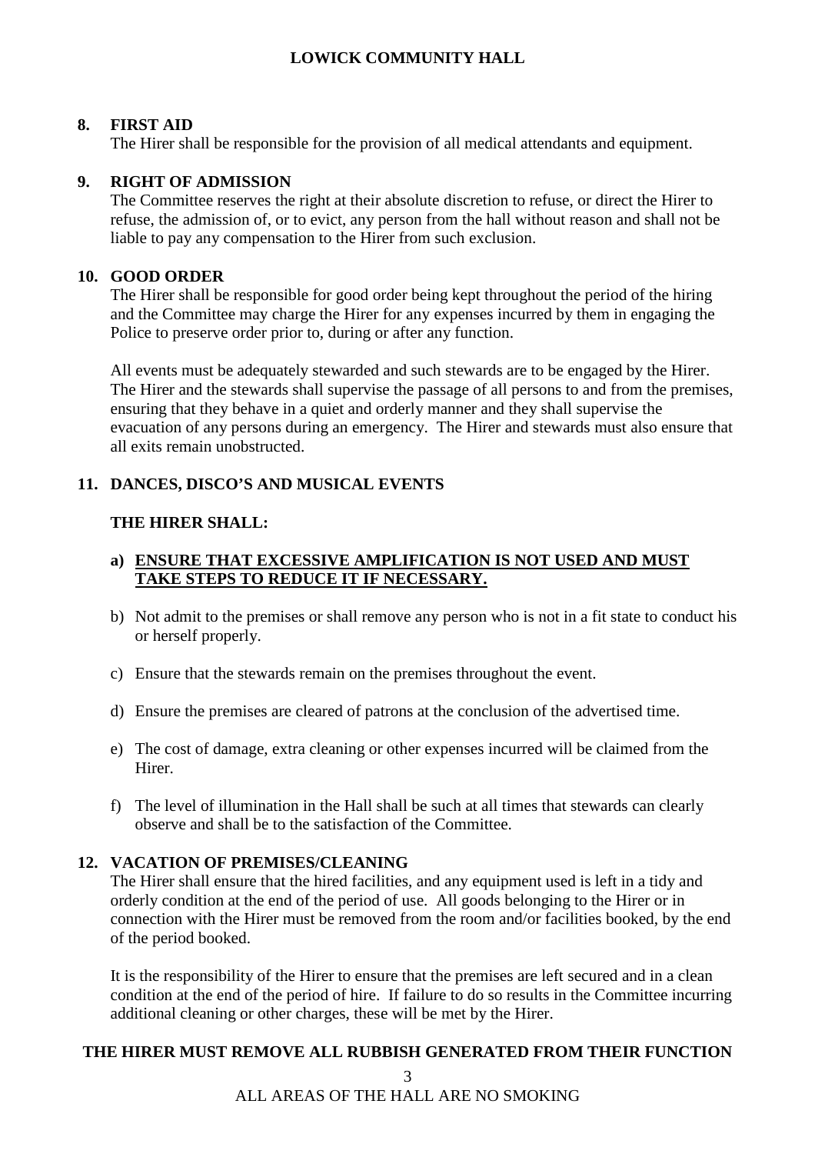#### **8. FIRST AID**

The Hirer shall be responsible for the provision of all medical attendants and equipment.

#### **9. RIGHT OF ADMISSION**

The Committee reserves the right at their absolute discretion to refuse, or direct the Hirer to refuse, the admission of, or to evict, any person from the hall without reason and shall not be liable to pay any compensation to the Hirer from such exclusion.

#### **10. GOOD ORDER**

The Hirer shall be responsible for good order being kept throughout the period of the hiring and the Committee may charge the Hirer for any expenses incurred by them in engaging the Police to preserve order prior to, during or after any function.

All events must be adequately stewarded and such stewards are to be engaged by the Hirer. The Hirer and the stewards shall supervise the passage of all persons to and from the premises, ensuring that they behave in a quiet and orderly manner and they shall supervise the evacuation of any persons during an emergency. The Hirer and stewards must also ensure that all exits remain unobstructed.

# **11. DANCES, DISCO'S AND MUSICAL EVENTS**

## **THE HIRER SHALL:**

# **a) ENSURE THAT EXCESSIVE AMPLIFICATION IS NOT USED AND MUST TAKE STEPS TO REDUCE IT IF NECESSARY.**

- b) Not admit to the premises or shall remove any person who is not in a fit state to conduct his or herself properly.
- c) Ensure that the stewards remain on the premises throughout the event.
- d) Ensure the premises are cleared of patrons at the conclusion of the advertised time.
- e) The cost of damage, extra cleaning or other expenses incurred will be claimed from the Hirer.
- f) The level of illumination in the Hall shall be such at all times that stewards can clearly observe and shall be to the satisfaction of the Committee.

## **12. VACATION OF PREMISES/CLEANING**

The Hirer shall ensure that the hired facilities, and any equipment used is left in a tidy and orderly condition at the end of the period of use. All goods belonging to the Hirer or in connection with the Hirer must be removed from the room and/or facilities booked, by the end of the period booked.

It is the responsibility of the Hirer to ensure that the premises are left secured and in a clean condition at the end of the period of hire. If failure to do so results in the Committee incurring additional cleaning or other charges, these will be met by the Hirer.

## **THE HIRER MUST REMOVE ALL RUBBISH GENERATED FROM THEIR FUNCTION**

3

ALL AREAS OF THE HALL ARE NO SMOKING